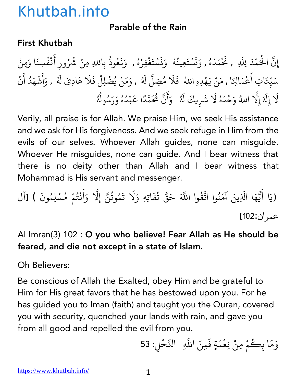### Parable of the Rain

### First Khutbah

إِنَّ الْحَمْدَ لِلَّهِ , نَحْمَدُهُ , وَنَسْتَعِينُهُ ۚ وَنَسْتَغْفِرُهُ , وَنَعُوذُ بِاللهِ مِنْ شُرُ المستقبل المستقبل المستقبل المستقبل المستقبل المستقبل المستقبل المستقبل المستقبل المستقبل المستقبل المستقبل ال<br>والمستقبل المستقبل المستقبل المستقبل المستقبل المستقبل المستقبل المستقبل المستقبل المستقبل المستقبل المستقبل ا ُ **∶** ن **∶** <u>ّ</u> ُ ∫<br>່ **∶** ن **∶** <u>ّ</u> **∶** ُ ؚ<br>ؚ **∶ ∶** ُ بِاللهِ مِنْ شُرُورِ أَنْفُسِنَا وَمِنْ ់<br>: **Andrew Communication** ُ سَيِّعَاتِ أَعْمَالِنَا , مَنْ يَهْدِهِ اللهُ ۖ فَلَا مُضِلَّ لَهُ , وَمَنْ يُضْلِلْ فَلَا هَادِىَ لَهُ , وَأَشْهَدُ أَنْ ؚ<br>ׇ֡֬֝֝֟<u>֝</u> ֧֦֧֝<u>֘</u> **∶ ∶ ∶** ا<br>ُ ؚ<br>ؚ<br>ؖ ُ **∶** أ ់<br>: **Andrew Communication ∶ Andrew Communication** لَا إِلَهَ إِلَّا اللهُ وَحْدَهُ لَا شَرِيكَ لَهُ ۚ وَأَنَّ مُحَمَّدًا عَبْدُهُ وَرَسُولُهُ **∶** ֧֖֧֦֧֦֧֦֧֚֚֝֝֝֬<br>֧֚֝<br>֧֝ ∫<br>່ **∶ ∶** ्<br>। ا<br>المسلمانية<br>المسلمانية **∶** أ **∶** ֧֧֦֧֦֧֦֧֦֧֚֚֝֝֝֬<br>֧֚֝<br>֧֝ ֧֦֧֝<u>֘</u> ैं।<br>। **Andrew Communication** ُ ∫<br>∶ ُ ∫<br>≀

Verily, all praise is for Allah. We praise Him, we seek His assistance and we ask for His forgiveness. And we seek refuge in Him from the evils of our selves. Whoever Allah guides, none can misguide. Whoever He misguides, none can guide. And I bear witness that there is no deity other than Allah and I bear witness that Mohammad is His servant and messenger.

(يَا أَيُّهَا الَّذِينَ آمَنُوا اتَّقُّ  $\ddot{\phantom{a}}$ ֧֪֦֪֪֦֖֧֦֝֟֟֓֟֟֟֟֟֟֟֟֓֝֬֟֓֝֬֟֟֓֝֬֟֓֝֬֝֬֝֟֓֬֝֬֟֟֟֬֝֬֝֟֟֬֝֬֟֟֬֝֬֝֬֝֬ **∶** .<br>.<br>. ُ ्<br>द وا اللَّهَ حَقَّ تُقَاتِهِ وَلَا تَمُوتُنَّ إِلَّا وَأَنْتُمْ مُسْلِمُونَ ) [آل ُ  $\ddot{\phantom{0}}$ ُ ֧֖֧֦֧֪֚֚֚֝֝֝֬<br>֧֚֝ **∶ ∶** ْ ِّ بِ عمر ان:102]

Al Imran(3) 102 : O you who believe! Fear Allah as He should be feared, and die not except in a state of Islam.

Oh Believers:

Be conscious of Allah the Exalted, obey Him and be grateful to Him for His great favors that he has bestowed upon you. For he has guided you to Iman (faith) and taught you the Quran, covered you with security, quenched your lands with rain, and gave you from all good and repelled the evil from you.

وَمَا بِكُمْ مِنْ نِعْمَةٍ فَمِنَ اللَّهِ ۚ التَّحْلِ: 53 ِّ ِ <u>َ</u>  $\ddot{\phantom{0}}$ 4<br>4<br>4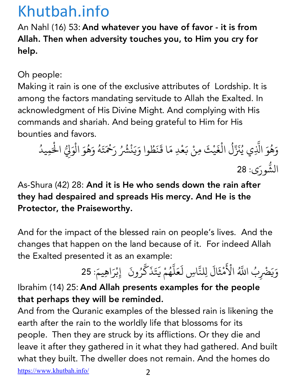An Nahl (16) 53: And whatever you have of favor - it is from Allah. Then when adversity touches you, to Him you cry for help.

Oh people:

Making it rain is one of the exclusive attributes of Lordship. It is among the factors mandating servitude to Allah the Exalted. In acknowledgment of His Divine Might. And complying with His commands and shariah. And being grateful to Him for His bounties and favors.

وَهُوَ الَّذِي يُنَزِّلُ الْغَيْثَ مِنْ بَعْدِ مَا قَنَظُوا وَيَنْشُرُ ا<br>المسلمان<br>المسلمان 4 المستقبل المستقبل المستقبل المستقبل المستقبل المستقبل المستقبل المستقبل المستقبل المستقبل المستقبل المستقبل ال<br>والمستقبل المستقبل المستقبل المستقبل المستقبل المستقبل المستقبل المستقبل المستقبل المستقبل المستقبل المستقبل ا ْ ؚ<br>֡֝֟<br>֖֝֟֝֟֝֟֟֟֟֟֟֟֟֟֟֟֟֟֟֟<u>֚</u> َ  $\ddot{\phantom{0}}$ ُ **∶ ∶** رَحْمَتَهُ وَهُوَ الْوَ  $\ddot{\phantom{0}}$ المستقبل المستقبل المستقبل المستقبل المستقبل المستقبل المستقبل المستقبل المستقبل المستقبل المستقبل المستقبل ال<br>والمستقبل المستقبل المستقبل المستقبل المستقبل المستقبل المستقبل المستقبل المستقبل المستقبل المستقبل المستقبل ا ا<br>المسلمان<br>المسلمان ْ لِّيُّ الْحَمِيدُ ֪֪֪֖֦֖֧֦֖֧֖֧֦֖֧֦֖֧֦֖֖֡֟֟֟֟֟֟֟֟֟֟֟֟֟֟֟֟֡֟֟֟֟֟֟֩֬֝֟֟֩֬֟֟֟֩֬֝֓֟֩֕֓֟֩֓֟֩֬֓֝֬֝֓֬֝֬֝֬֟֩֬֝֬֝֬֝֬֝֬֝֬֝֬֝֬֝֬ الشُّورَى: 28

As-Shura (42) 28: And it is He who sends down the rain after they had despaired and spreads His mercy. And He is the Protector, the Praiseworthy.

And for the impact of the blessed rain on people's lives. And the changes that happen on the land because of it. For indeed Allah the Exalted presented it as an example:

وَيَضْرِبُ اللَّهُ الْأَ َ المستقبل المستقبل المستقبل المستقبل المستقبل المستقبل المستقبل المستقبل المستقبل المستقبل المستقبل المستقبل ال<br>والمستقبل المستقبل المستقبل المستقبل المستقبل المستقبل المستقبل المستقبل المستقبل المستقبل المستقبل المستقبل ا  $\tilde{\epsilon}$ ِ<br>مُثَالَ لِلنَّاسِ لَعَلَّهُمْ يَتَذَكَّرُونَ ۖ إِبْرَاهِيمَ: 25 ْ **∶** ैं.<br>. .<br>.<br>. ُ َ  $\ddot{\phantom{0}}$ َ  $\ddot{\cdot}$ ْ

Ibrahim (14) 25: And Allah presents examples for the people that perhaps they will be reminded.

And from the Quranic examples of the blessed rain is likening the earth after the rain to the worldly life that blossoms for its people. Then they are struck by its afflictions. Or they die and leave it after they gathered in it what they had gathered. And built what they built. The dweller does not remain. And the homes do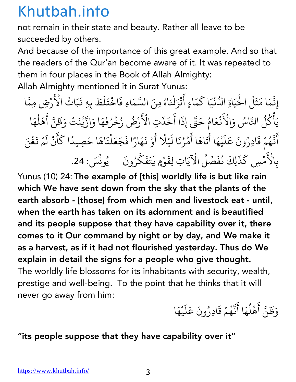not remain in their state and beauty. Rather all leave to be succeeded by others.

And because of the importance of this great example. And so that the readers of the Qur'an become aware of it. It was repeated to them in four places in the Book of Allah Almighty: Allah Almighty mentioned it in Surat Yunus:

إِنَّمَا مَثَلُ الْحُيَاةِ الدُّنْيَا كَمَاءٍ أَنْزَلْنَاهُ مِنَ السَّمَاءِ فَاخْتَلَطَ بِهِ نَبَاتُ الْأَ :<br>; **∶** ֦֚֚֝֝֝֝֟<u>֓</u> ֧֧֦֧֦֧֦֧֦֦֧֦֦֖֧֦֧֦֧֦֧֦֧֦֧֖֝֟֟֟֟֟֟֟֟֟֟֟֟֟֟֟֟֟֟֟֟֟֡֬֟֝֟֟֓֝֬֟֓֝֬֟֬֝֬֟֓֝֬֝֬֝֬֝֬֝֬֝֬֝֬֝֬֝֬ ֦֖֦֦֦֪֦ׅׅ֧֦֧ׅ֧֦֧֪ׅ֧֚֚֝֝֝֝֝֝֝֬֝֓֝֬֝֓֟֝֬֝֓֟֓֡֬֝֓֟֓֡֬֝֓֟֓֡֬֜֓֡֬֜֓֡֬֝֓֟֓֡֬֓֜֓֓֬֝֓֞֬֝֓֞֓֝֬֝֓֞֟֓ **∶** ់<br>: المسلم<br>المسلمان<br>المسلمان :<br>. ؚ<br>ۣ<br>ۭ  $\ddot{\phantom{a}}$ ्<br>।  $\tilde{\epsilon}$ 4رْضِ مِمَّا يَأْكُلُ النَّاسُ وَالْأَ َ ْ ؚ<br>ۣ :<br>: ُ  $\tilde{\epsilon}$ نْعَامُ حَتَّى إِذَا أَخَذَ ُ ्<br>। رب<br>تِ الْأَرْضُ زُخْرُفَهَا وَازَّيَّنَتْ وَظَنَّ أَهْلُهَا ۚ المستقل المستقل المستقل المستقل المستقل المستقل المستقل المستقل المستقل المستقل المستقلة المستقلة ا َ 4 .<br>ا .<br>: ْ المسلم<br>المسلماني َ أَنَّهُمْ قَادِرُونَ عَلَيْهَا أَتَاهَا أَمْرُنَا لَيْلًا أَوْ نَهَارًا فَجَعَلْنَاهَا حَصِيدًا كَأَنْ لَمْ تَغْنَ ์<br>.<br>. 4 ُ ै<br>। ्<br>।  $\vdots$ ؚ<br>ׇ֚<br>ׇ֚֝<br>ׇׇׇׇׇׇ֖֚֝֝֝֝֝֝֝֝**֚** ُ َ  $\ddot{\phantom{a}}$ **∶** َ َ ا<br>ا ل َ **∶** َ ب الأ ِ ِ<br>پی<br>**ک** ه<br>مْسِ كَذَلِكَ نُفَصِّلُ الْآيَاتِ لِقَوْمٍ يَتَفَكَّرُونَ يُونُسَ: 24. ֦֖֦֦֦֦֦֧֦֦ׅׅ֧ׅ֧ׅ֧֦֧֚֚֝֝֝֝֝֝֝֬֝֬֝֓֝֬֝֟֝֬֝֓֝֬֝֓֝֟֓֝֬֝֓֟֓֡֬֟֓֡֟֓֡֬֜֓֡֬֜֓֡֬֓֜֓֓֜֓֬֝֓֞֬֝֓֞֓ ُ **∶** َ $\ddot{\phantom{0}}$ 4 ُ

Yunus (10) 24: The example of [this] worldly life is but like rain which We have sent down from the sky that the plants of the earth absorb - [those] from which men and livestock eat - until, when the earth has taken on its adornment and is beautified and its people suppose that they have capability over it, there comes to it Our command by night or by day, and We make it as a harvest, as if it had not flourished yesterday. Thus do We explain in detail the signs for a people who give thought. The worldly life blossoms for its inhabitants with security, wealth, prestige and well-being. To the point that he thinks that it will never go away from him:

وَظَنَّ أَهْلُهَا أَنَّهُمْ قَادِرُونَ عَلَيْهَا  $\ddot{\phantom{a}}$ ١, المستقبل المستقبل المستقبل المستقبل المستقبل المستقبل المستقبل المستقبل المستقبل المستقبل المستقبل المستقبل ال<br>والمستقبل المستقبل المستقبل المستقبل المستقبل المستقبل المستقبل المستقبل المستقبل المستقبل المستقبل المستقبل ا ैं।<br>। 4 ُ ؚ<br>ا ्<br>। ْ َ

### "its people suppose that they have capability over it"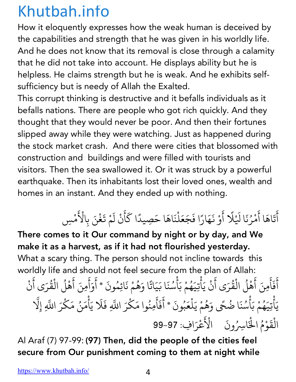How it eloquently expresses how the weak human is deceived by the capabilities and strength that he was given in his worldly life. And he does not know that its removal is close through a calamity that he did not take into account. He displays ability but he is helpless. He claims strength but he is weak. And he exhibits selfsufficiency but is needy of Allah the Exalted.

This corrupt thinking is destructive and it befalls individuals as it befalls nations. There are people who got rich quickly. And they thought that they would never be poor. And then their fortunes slipped away while they were watching. Just as happened during the stock market crash. And there were cities that blossomed with construction and buildings and were filled with tourists and visitors. Then the sea swallowed it. Or it was struck by a powerful earthquake. Then its inhabitants lost their loved ones, wealth and homes in an instant. And they ended up with nothing.

### أَتَاهَا أَمْرُنَا لَيْلًا أَوْ نَهَارًا فَجَعَلْنَاهَا حَصِيدًا كَأَنْ لَمْ تَغْنَ بِالْأَ ्<br>।<br>। ्<br>। المستقبل المستقبل المستقبل المستقبل المستقبل المستقبل المستقبل المستقبل المستقبل المستقبل المستقبل المستقبل ال<br>والمستقبل المستقبل المستقبل المستقبل المستقبل المستقبل المستقبل المستقبل المستقبل المستقبل المستقبل المستقبل ا ्<br>। ्<br>। **∶** ैं।<br>। ْ ֦֧֦֦֦֦֖֦֦֦֦֧֦֦֦֦֦֦֦֦֧֦֧֦֦֧֦֧֦֪֦֦֦֦֦֦֦֝֝֝֝֝֝֝֬֟֓֡֟֓֡֬֟֓֡֬֟֓֡֟֓֡֬֓֡֬֓֞֓֡֬֟֓֞֟֓֞֓֞֬֓֞֬֓֞֓֞֓֬֓֞֓  $\ddot{\phantom{0}}$ ل ्<br>। ै।<br>।  $\tilde{\epsilon}$ م ِس ْ

There comes to it Our command by night or by day, and We make it as a harvest, as if it had not flourished yesterday. What a scary thing. The person should not incline towards this worldly life and should not feel secure from the plan of Allah: ا idly lie and should not leer secule nom the plan or Allan.<br>أَفَأَمِنَ أَهْلُ الْقُرَى أَنْ يَأْتِيَهُمْ بَأْسُنَا بَيَاتًا وَهُمْ نَائِمُونَ \* أَوَأَمِنَ أَهْلُ الْقُرَى أَنْ ्<br>। **∶** ا<br>: المستقبل المستقبل المستقبل المستقبل المستقبل المستقبل المستقبل المستقبل المستقبل المستقبل المستقبل المستقبل ال<br>والمستقبل المستقبل المستقبل المستقبل المستقبل المستقبل المستقبل المستقبل المستقبل المستقبل المستقبل المستقبل ا َ َ ֪֡֡֬֟֟֟֟֟֟֟֟֟֟֟֟֟֟֟֟֟֟֟֟֟֟֟֟֟<sup>֟</sup> ्<br>। المستقبل المستقبل المستقبل المستقبل المستقبل المستقبل المستقبل المستقبل المستقبل المستقبل المستقبل المستقبل ال<br>والمستقبل المستقبل المستقبل المستقبل المستقبل المستقبل المستقبل المستقبل المستقبل المستقبل المستقبل المستقبل ا **∶** ْ  $\ddot{\phantom{0}}$ **∶ البار**<br>البارات المسلم<br>المسلمان<br>المسلمان ا<br>: **│** ֖֖֪֪֪֪֦֪֦֪֪֪֦֪֪֦֪֪֪֦֪֪֪֦֚֚֚֚֚֚֚֚֚֚֚֚֚֚֚֚֚֚֚֚֝֝֝֝֝֝֝֬֝֬֝֟֓֟֓֟ ُ ्<br>। يَأْتِيَهُمْ بَأْسُنَا ضُحًى وَهُمْ يَلْعَبُونَ \* أَفَأَمِنُوا مَكْرَ اللَّهِ فَلَا يَأْمَنُ مَكْرَ اللَّهِ إِلَّا َ ْ ्<br>। المستقبل المستقبل المستقبل المستقبل المستقبل المستقبل المستقبل المستقبل المستقبل المستقبل المستقبل المستقبل ال<br>والمستقبل المستقبل المستقبل المستقبل المستقبل المستقبل المستقبل المستقبل المستقبل المستقبل المستقبل المستقبل ا **ृ** ْ المسلم<br>المسلمان<br>المسلمان المستقبل المستقبل المستقبل المستقبل المستقبل المستقبل المستقبل المستقبل المستقبل المستقبل المستقبل المستقبل ال<br>والمستقبل المستقبل المستقبل المستقبل المستقبل المستقبل المستقبل المستقبل المستقبل المستقبل المستقبل المستقبل ا ً المستقبل المستقبل المستقبل المستقبل المستقبل المستقبل المستقبل المستقبل المستقبل المستقبل المستقبل المستقبل ال<br>والمستقبل المستقبل المستقبل المستقبل المستقبل المستقبل المستقبل المستقبل المستقبل المستقبل المستقبل المستقبل ا **∶** ैं।<br>।  $\ddot{\phantom{a}}$ َ ا<br>ا ُ <u>់</u> ्<br>। <u>َ</u> ُ <u>់</u> .<br>أ الْقَوْمُ الْخَاسِرُونَ الْأَ ْ **∶** ؚ<br>ۣ  $\tilde{\epsilon}$ .<br>أَعْرَافِ: 97-99 ؚ<br>ا

Al Araf (7) 97-99: (97) Then, did the people of the cities feel secure from Our punishment coming to them at night while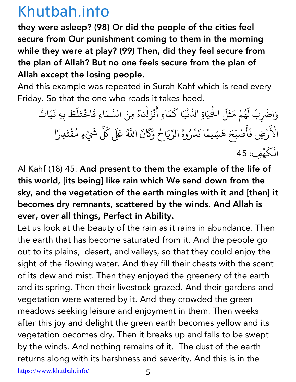they were asleep? (98) Or did the people of the cities feel secure from Our punishment coming to them in the morning while they were at play? (99) Then, did they feel secure from the plan of Allah? But no one feels secure from the plan of Allah except the losing people.

And this example was repeated in Surah Kahf which is read every Friday. So that the one who reads it takes heed.

وَاضْرِبْ لَهُمْ مَثَلَ الْحَيَاةِ الدُّنْيَا كَمَاءٍ أَنْزَلْنَاهُ مِنَ السَّمَاءِ فَاخْتَلَطَ بِهِ نَبَاتُ<br>مَاسِّبَاتُ َ المستقبل المستقبل المستقبل المستقبل المستقبل المستقبل المستقبل المستقبل المستقبل المستقبل المستقبل المستقبل ال<br>والمستقبل المستقبل المستقبل المستقبل المستقبل المستقبل المستقبل المستقبل المستقبل المستقبل المستقبل المستقبل ا ्<br>। ์<br>.<br>. ֧֖֖֖֖֖֖֖֖֪֪ׅ֚֚֚֚֚֚֚֚֚֚֚֝֝֝֝֝֬֝֬֝֬֝֟֓֬֝֬֝֓֬֝֬֓֬֝֬֓֬֝֬֓֬֝֬֝֓֬֝֬ ْ ֦֧֦֦֦֖֦֦֦֦֖֧֦֦֦֦֦֦֦֦֧֦֧֦֦֦֦֦֦֦֦֧֦֦֪֦֪֪֪֪֪֦֚֝֝֝֝֝֝֟֓֡֟֓֡֟֓֡֬֟֓֡֟֓֡֟֓֡֟֓֡֬֓֞֓֡֬֟֓֡֓֞֬֓֞֓֞֡֓֞֬֓֞֬֓֞֓֬֝֓֞֓֟֓֞֟֓֞֟֟ **∶** َ : المسلم<br>المسلمان<br>المسلمان :<br>. .<br>.<br>.  $\ddot{\phantom{0}}$ **∶** ُ الأ ِ .<br>المجمع َرْضِ فَأَصْبَحَ هَشِيمًا تَذْرُوهُ الرِّيَاحُ وَكَانَ اللَّهُ عَلَى كُلِّ شَيْءٍ مُقْتَدِرًا ֺ֖֖֖֖֖֖֖֖֖֪֪֪ׅ֚֚֚֚֚֚֚֚֚֚֚֚֚֚֝֝֝֝֝֝֝֝֟֓֝֬֝֓֝֬֝֓֞֟֓֝֬֝֬֝֓֞֝֬֝֝֬֝֬֝֬֝֬֝֬֝֓֬֝֬֝֓֞֝֬֝֬֝֝֬֝֝֬ ֺ֧֦֪֦֪֦֖֧֝֝֝֝֟֟֝֬֝֟<u>֘</u> المستقبل المستقبل المستقبل المستقبل المستقبل المستقبل المستقبل المستقبل المستقبل المستقبل المستقبل المستقبل ال<br>والمستقبل المستقبل المستقبل المستقبل المستقبل المستقبل المستقبل المستقبل المستقبل المستقبل المستقبل المستقبل ا ؚ<br>ۣ <u>ّ</u> ؚ<br>ۣ **∶** ُ ْ الْكَهْفِ: 45 ْ َ

Al Kahf (18) 45: And present to them the example of the life of this world, [its being] like rain which We send down from the sky, and the vegetation of the earth mingles with it and [then] it becomes dry remnants, scattered by the winds. And Allah is ever, over all things, Perfect in Ability.

Let us look at the beauty of the rain as it rains in abundance. Then the earth that has become saturated from it. And the people go out to its plains, desert, and valleys, so that they could enjoy the sight of the flowing water. And they fill their chests with the scent of its dew and mist. Then they enjoyed the greenery of the earth and its spring. Then their livestock grazed. And their gardens and vegetation were watered by it. And they crowded the green meadows seeking leisure and enjoyment in them. Then weeks after this joy and delight the green earth becomes yellow and its vegetation becomes dry. Then it breaks up and falls to be swept by the winds. And nothing remains of it. The dust of the earth returns along with its harshness and severity. And this is in the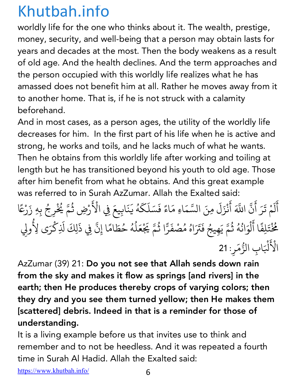worldly life for the one who thinks about it. The wealth, prestige, money, security, and well-being that a person may obtain lasts for years and decades at the most. Then the body weakens as a result of old age. And the health declines. And the term approaches and the person occupied with this worldly life realizes what he has amassed does not benefit him at all. Rather he moves away from it to another home. That is, if he is not struck with a calamity beforehand.

And in most cases, as a person ages, the utility of the worldly life decreases for him. In the first part of his life when he is active and strong, he works and toils, and he lacks much of what he wants. Then he obtains from this worldly life after working and toiling at length but he has transitioned beyond his youth to old age. Those after him benefit from what he obtains. And this great example was referred to in Surah AzZumar. Allah the Exalted said:

أَلَمْ تَرَ أَنَّ اللَّهَ أَنْزَلَ مِنَ السَّمَاءِ مَاءً فَسَلَكَهُ يَنَابِيعَ فِي الْأَ ्<br>। ل **∶**  $\ddot{\phantom{0}}$ ्<br>। :<br>; ֧֖֖֖֖֖֖֚֚֚֚֚֚֚֚֚֚֚֚֝֝֝<u>֚</u> ْ  $\ddot{\phantom{0}}$ َ ֦֦֦֦֦֖֚֚֚֚֝֝֝֝֝֝֝֝֝֬֝֝֝**֟** ا<br>المسلمان<br>المسلمان **∶**  $\tilde{\epsilon}$ المستقبل المستقبل المستقبل المستقبل المستقبل المستقبل المستقبل المستقبل المستقبل المستقبل المستقبل المستقبل ال<br>والمستقبل المستقبل المستقبل المستقبل المستقبل المستقبل المستقبل المستقبل المستقبل المستقبل المستقبل المستقبل ا رْضِ ثُمَّ يُخْ رِجُ بِهِ زَرْعًا ؚ<br>ۣ **∶** ً ئخ ْ ُ َ<br>تَلِفًا أَلْوَانُهُ ثُمَّ يَهِيجُ فَتَرَاهُ مُصْفَرًّا ثُمَّ يَجْعَلُهُ حُطَامًا إِنَّ فِي ذَلِكَ لَذِكْرَى لِأُولِي ់<br>: ل المستقبل المستقبل المستقبل المستقبل المستقبل المستقبل المستقبل المستقبل المستقبل المستقبل المستقبل المستقبل ال<br>والمستقبل المستقبل المستقبل المستقبل المستقبل المستقبل المستقبل المستقبل المستقبل المستقبل المستقبل المستقبل ا المستقبل المستقبل المستقبل المستقبل المستقبل المستقبل المستقبل المستقبل المستقبل المستقبل المستقبل المستقبل ال<br>والمستقبل المستقبل المستقبل المستقبل المستقبل المستقبل المستقبل المستقبل المستقبل المستقبل المستقبل المستقبل ا .<br>ا **∶** ؚ<br>ۣ المستقبل المستقبل المستقبل المستقبل المستقبل المستقبل المستقبل المستقبل المستقبل المستقبل المستقبل المستقبل ال<br>والمستقبل المستقبل المستقبل المستقبل المستقبل المستقبل المستقبل المستقبل المستقبل المستقبل المستقبل المستقبل ا **∶** المستقبل المستقبل المستقبل المستقبل المستقبل المستقبل المستقبل المستقبل المستقبل المستقبل المستقبل المستقبل ال<br>والمستقبل المستقبل المستقبل المستقبل المستقبل المستقبل المستقبل المستقبل المستقبل المستقبل المستقبل المستقبل ا ֺ<u>֓</u> المستقبل المستقبل المستقبل المستقبل المستقبل المستقبل المستقبل المستقبل المستقبل المستقبل المستقبل المستقبل ال<br>والمستقبل المستقبل المستقبل المستقبل المستقبل المستقبل المستقبل المستقبل المستقبل المستقبل المستقبل المستقبل ا ؚ<br>ۣ ์<br>. ∫<br>≀  $\ddot{\phantom{a}}$ الأ  $\tilde{\epsilon}$ لْبَابِ الزُّمَرِ: 21 ֧֖֖֖֖֖֖֖֧֚֚֚֚֚֚֚֚֚֚֝֝֝<u>֚</u><br>֧֚֝ َ

AzZumar (39) 21: Do you not see that Allah sends down rain from the sky and makes it flow as springs [and rivers] in the earth; then He produces thereby crops of varying colors; then they dry and you see them turned yellow; then He makes them [scattered] debris. Indeed in that is a reminder for those of understanding.

It is a living example before us that invites use to think and remember and to not be heedless. And it was repeated a fourth time in Surah Al Hadid. Allah the Exalted said: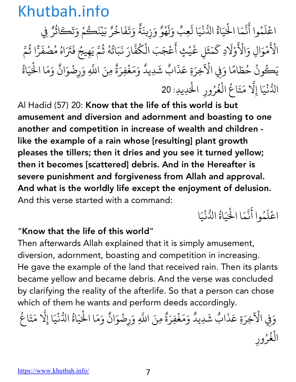اعْلَمُوا أَنَّمَا الْحَيَاةُ الدُّنْيَا لَعِبٌ وَلَهْوٌ وَزِينَةٌ وَتَفَاخُرٌ بَيْنَكُمْ وَتَكَاثُرٌ فِي ؚ<br>ا َ  $\ddot{\phantom{a}}$ 4<br>4<br>4 َ ֦֖֧֦֪֪֦֖֧֦֪֦֖֖֖֪֪֪֖֞֟֓֟֓֟֟֟֟֟֟֟֟֟֓֡֟֟֟֟֟֬֟֟֟֟֬֟֟֓֟֬֝֟֓֟֬֝֟֟֩֬֝֟֓֟֬֝֬֟֟֬֝֟֟֟֬֝֬֝֟֟֬֝֬֝֬֝֬֝֬֝֬֝֬֝֬֝֬֝֟֝֬֝֬֝֬֝֬֝֬֝֬ ٌ**│** ا ्<br>। ْ ٌ َ ٌ ्<br>।  $\ddot{\phantom{0}}$ ै।<br>। ٌ **∶** ِ<br>ا **∶** المستقبل المستقبل المستقبل المستقبل المستقبل المستقبل المستقبل المستقبل المستقبل المستقبل المستقبل ا الأ  $\tilde{\epsilon}$ مْوَالِ وَالْأَ  $\tilde{\epsilon}$ وْلَادِ كَمَثَلِ غَيْثٍ أَعْجَبَ الْكُفَّارَ نَبَاتُهُ ثُمَّ يَهِيجُ فَتَرَاهُ مُصْفَرًّا ثُمَّ ֦֦֖֦֦֦֪֦֪֦֪֦֪֪֪֦֪֪֪֦֪֪֦֚֚֝֝֝֝֝֝֝֝֬֝֝֓֝֬֝֟֝֬֝֓֝֬֝֓֟֓֟֓֡֟֓֟֓֡֟֓֟֓֡֟֓֡֟֓֡֟֓֡֟֓֡֬֟֓֡֬֟֓֡֟֟֓֞֟֟֟ ्<br>। َ **∶** ्<br>। المباد<sup>ر</sup><br>المبادر 4 **∶** المستشرك المستشرك المستشرك المستشرك المستشرك المستشرك المستشرك المستشرك المستشرك المستشرك المستشرك المستشركة ا<br>والمستشركة المستشركة المستشركة المستشركة المستشركة المستشركة المستشركة المستشركة المستشركة المستشركة المستشركة المستقبل المستقبل المستقبل المستقبل المستقبل المستقبل المستقبل المستقبل المستقبل المستقبل المستقبل المستقبل ال<br>والمستقبل المستقبل المستقبل المستقبل المستقبل المستقبل المستقبل المستقبل المستقبل المستقبل المستقبل المستقبل ا .<br>ا َ ؚ<br>ۣ المستقبل المستقبل المستقبل المستقبل المستقبل المستقبل المستقبل المستقبل المستقبل المستقبل المستقبل المستقبل ال<br>والمستقبل المستقبل المستقبل المستقبل المستقبل المستقبل المستقبل المستقبل المستقبل المستقبل المستقبل المستقبل ا ्<br>। المستقبل المستقبل المستقبل المستقبل المستقبل المستقبل المستقبل المستقبل المستقبل المستقبل المستقبل المستقبل ال<br>والمستقبل المستقبل المستقبل المستقبل المستقبل المستقبل المستقبل المستقبل المستقبل المستقبل المستقبل المستقبل ا  $\ddot{\phantom{0}}$ يَكُونُ حُطَامًا وَفِي الْآ ُ ֧֦֧֝<u>֓</u> ا وَفِي الْأَخِرَةِ عَذَابٌ شَدِيدٌ وَمَغْفِرَةٌ مِنَ اللَّهِ وَرِضْوَانٌ وَمَا الْحَيَاةُ ٌ ٌَ ्<br>। ٌ :<br>; ٌ َْ ُ ֧֞<u>֟</u> الدُّنْيَا إِلَّا مَتَاعُ الْغُرُورِ الْحَدِيدِ: 20 ْ :<br>; **∶** ْ المستقبل المستقبل المستقبل المستقبل المستقبل المستقبل المستقبل المستقبل المستقبل المستقبل المستقبل المستقبل ال<br>والمستقبل المستقبل المستقبل المستقبل المستقبل المستقبل المستقبل المستقبل المستقبل المستقبل المستقبل المستقبل ا المستقبل المستقبل المستقبل المستقبل المستقبل المستقبل المستقبل المستقبل المستقبل المستقبل المستقبل المستقبل ال<br>والمستقبل المستقبل المستقبل المستقبل المستقبل المستقبل المستقبل المستقبل المستقبل المستقبل المستقبل المستقبل ا ْ

Al Hadid (57) 20: Know that the life of this world is but amusement and diversion and adornment and boasting to one another and competition in increase of wealth and children like the example of a rain whose [resulting] plant growth pleases the tillers; then it dries and you see it turned yellow; then it becomes [scattered] debris. And in the Hereafter is severe punishment and forgiveness from Allah and approval. And what is the worldly life except the enjoyment of delusion. And this verse started with a command:

اعْلَمُوا أَنَّمَا الْحَيَاةُ الدُّنْيَا ؚ<br>ا **∶**  $\ddot{\phantom{a}}$ :<br>; َْ ֖֖֖֧֡֟֟֟֟֟֟֟֟֟֟֟֟֟֟֟֟֟֟֟֟֟֟֟֟֟<sup>֟</sup> َ

### "Know that the life of this world"

Then afterwards Allah explained that it is simply amusement, diversion, adornment, boasting and competition in increasing. He gave the example of the land that received rain. Then its plants became yellow and became debris. And the verse was concluded by clarifying the reality of the afterlife. So that a person can chose which of them he wants and perform deeds accordingly.

و الآِفِي الْآخِرَةِ عَذَابٌ شَدِيدٌ وَمَغْفِرَةٌ مِنَ اللَّهِ وَرِضْوَانٌ وَمَا الْحَيَاةُ الدُّنْيَا إِلَّا مَتَاغ ٌ ٌ**∶** ्<br>। ٌ :<br>; ٌ .<br>. َ ֖֖֖֧֡֟֟֟֟֟֟֟֟֟֟֟֟֟֟֟֟֟֟֟֟֟֟֟֟֟֩֕<sup>֟</sup> ْ .<br>ة ्<br>। ُ الغُرُورِ ْ ا<br>المسلمان<br>المسلمان المستقبل المستقبل المستقبل المستقبل المستقبل المستقبل المستقبل المستقبل المستقبل المستقبل المستقبل المستقبل ال<br>والمستقبل المستقبل المستقبل المستقبل المستقبل المستقبل المستقبل المستقبل المستقبل المستقبل المستقبل المستقبل ا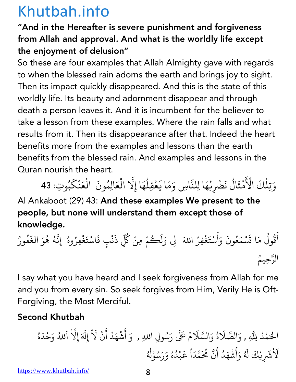### "And in the Hereafter is severe punishment and forgiveness from Allah and approval. And what is the worldly life except the enjoyment of delusion"

So these are four examples that Allah Almighty gave with regards to when the blessed rain adorns the earth and brings joy to sight. Then its impact quickly disappeared. And this is the state of this worldly life. Its beauty and adornment disappear and through death a person leaves it. And it is incumbent for the believer to take a lesson from these examples. Where the rain falls and what results from it. Then its disappearance after that. Indeed the heart benefits more from the examples and lessons than the earth benefits from the blessed rain. And examples and lessons in the Quran nourish the heart. المستقبل المستقبل المستقبل المستقبل المستقبل المستقبل المستقبل المستقبل المستقبل المستقبل المستقبل المستقبل ال<br>والمستقبل المستقبل المستقبل المستقبل المستقبل المستقبل المستقبل المستقبل المستقبل المستقبل المستقبل المستقبل ا ُ 4 ْ المسيح المسيح المسيح المسيح المسيح المسيح المسيح المسيح المسيح المسيح المسيح المسيح المسيح المسيح المسيح المسيح ֦֖֦֦֦֪֦֧֧֧֚֚֚֝֝֝֝֝֝֝֝֝֝֬֝֝֝֟֝֬֝֝֬֝֝֟֓֝֟֓֝֬֝֓֝֬֝֓֝֬֝֟֓֝֬֝֓֝֬֝֓֝֬֝֓֝֬֝֓֝֬֝֓֝֬֝֓֝֬֝֓֝֬֝֝

وَتِلْكَ الْأَ ُمْثَالُ نَضْرِبُهَا لِلنَّاسِ وَمَا يَعْقِلُهَا إِلَّا الْعَالِمُونَ الْعَنْكَبُوتِ: 43 ْ المستقبل المستقبل المستقبل المستقبل المستقبل المستقبل المستقبل المستقبل المستقبل المستقبل المستقبل المستقبل ال<br>والمستقبل المستقبل المستقبل المستقبل المستقبل المستقبل المستقبل المستقبل المستقبل المستقبل المستقبل المستقبل ا 4**∶** ֧֚֝ Al Ankaboot (29) 43: And these examples We present to the people, but none will understand them except those of knowledge.

أ َ .<br>قُولُ مَا تَسْمَعُونَ وَأَسْتَغْفِرُ اللهَ لِى وَلَكُمْ مِنْ كُلِّ ُ **∶ ∶** أ **∶ Andrew Communication ∶ ∶** ∫<br>∫ ِ ذَنْبٍ فَاسْتَغْفِرُوهُ ۚ إِنَّهُ هُوَ الغَفُورُ **∶** ْ **∶** ُ <u>:</u> ∫<br>່ المستقبل المستقبل المستقبل المستقبل المستقبل المستقبل المستقبل المستقبل المستقبل المستقبل المستقبل المستقبل ال<br>والمستقبل المستقبل المستقبل المستقبل المستقبل المستقبل المستقبل المستقبل المستقبل المستقبل المستقبل المستقبل ا ैं।<br>। ∫<br>∫ ِّ بِهِ ا ֪֧֡֝֟֟֟֟֟֟֟֟֟֟֟֟֟֟֟֟֟֟֟֟֟֟<sup>֟</sup> الرَّحِيمُ ُ

I say what you have heard and I seek forgiveness from Allah for me and you from every sin. So seek forgives from Him, Verily He is Oft-Forgiving, the Most Merciful.

### Second Khutbah

م َ ال د ْ ُ +ِ ّ <sup>O</sup> ّ الص َ ِ , <sup>و</sup> َ ة ُ و <sup>O</sup> ّ الس َ <sup>ر</sup> ََ ُ <sup>x</sup> <sup>م</sup> َ س َ ُ <sup>أ</sup> َ <sup>و</sup> ِل اِ+ , <sup>و</sup> َ ش ْ ه د َ أ ُ َ ن ْ Z إِل َ ْ َ إِZ َ ْ ّ ا َ +ُ و ح َ د ْ َ ه ُ Z ش َ ْ َ يِ ك ْ ل َ َ ُ و َ أ َ ش ه د َ أ ُ َ ن م ّ م َُ ّ د َ ا ً ع َ ب ْ د ُ ه ُ و ر َ س َ ُ و ل ْ ُ ُ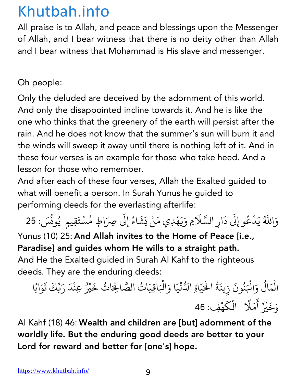All praise is to Allah, and peace and blessings upon the Messenger of Allah, and I bear witness that there is no deity other than Allah and I bear witness that Mohammad is His slave and messenger.

Oh people:

Only the deluded are deceived by the adornment of this world. And only the disappointed incline towards it. And he is like the one who thinks that the greenery of the earth will persist after the rain. And he does not know that the summer's sun will burn it and the winds will sweep it away until there is nothing left of it. And in these four verses is an example for those who take heed. And a lesson for those who remember.

And after each of these four verses, Allah the Exalted guided to what will benefit a person. In Surah Yunus he guided to performing deeds for the everlasting afterlife:

و اللَّهُ يَدْعُو إِلَى دَارِ السَّلَامِ وَيَهْدِي مَنْ يَشَاءُ إِلَى صِرَاطٍ مُسْتَقِيمٍ يُونُسَ: 25 ्<br>। **∶** ֖֖֚֚֚֚֚֝֝<u>֓</u> <u>َ</u> ُ

Yunus (10) 25: And Allah invites to the Home of Peace [i.e., Paradise] and guides whom He wills to a straight path. And He the Exalted guided in Surah Al Kahf to the righteous deeds. They are the enduring deeds:

الْمَالُ وَالْبَنُونَ زِينَةُ الْحَيَاةِ الدُّنْيَا وَالْبَاقِيَاتُ الصَّالِحَاتُ خَيْرٌ عِنْدَ رَبِّكَ ثَوَابًا ْ المستقبل المستقبل المستقبل المستقبل المستقبل المستقبل المستقبل المستقبل المستقبل المستقبل المستقبل المستقبل ال<br>والمستقبل المستقبل المستقبل المستقبل المستقبل المستقبل المستقبل المستقبل المستقبل المستقبل المستقبل المستقبل ا ْ  $\overline{\phantom{a}}$ ُ **∶** َ ֖֪֪֪֦֖֧֪֦֧֦֦֖֧֦֖֧֦֦֧֦֧֦֧֦֦֧֦֖֧֦֪֦֪֖֡֟֟֟֟֟֟֟֟֟֟֟֟֟֟֟֟֟֟֟֟֟֟֟֟֟֟֟֝֟֟֟֟֟֟֟֟֟֟֟֟֟֩֕֟֟֬֝֬֟֟֝֬֟֝֬֝֬֝֬ ्ُُ<br>।  $\ddot{\phantom{0}}$ ֧֦֧֝<u>֘</u> وَخَيْرٌ أَمَلًا ۖ الْكَهْفِ: 46 ؚ<br>ؚ<br>ؙ **ا**<br>ا ֦֖֦֖֦֖֚֚֚֚֝֝֝֝֝֝֝֝֝֝֝֝֝**֟** 

Al Kahf (18) 46: Wealth and children are [but] adornment of the worldly life. But the enduring good deeds are better to your Lord for reward and better for [one's] hope.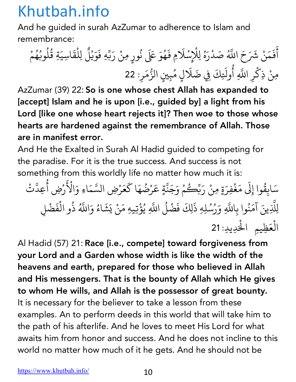And he guided in surah AzZumar to adherence to Islam and remembrance:

أَفَمَنْ شَرَحَ اللَّهُ صَدْرَهُ لِلْإِسْلَامِ فَهُوَ عَلَى نُورٍ مِنْ رَبِّهِ فَوَيْلٌ لِلْقَاسِيَةِ قُلُوبُهُمْ ्<br>। **∶ ∶** ْ َُ ُ **∶** َ **∶** ्<br>। ْ ُ ُ المستقبل المستقبل المستقبل المستقبل المستقبل المستقبل المستقبل المستقبل المستقبل المستقبل المستقبل المستقبل ال<br>والمستقبل المستقبل المستقبل المستقبل المستقبل المستقبل المستقبل المستقبل المستقبل المستقبل المستقبل المستقبل ا ُ ْ مِنْ ذِكْرِ اللَّهِ أُولَئِكَ فِي ضَلَالٍ مُبِينٍ الزُّمَرِ: 22 <u>់</u> ∫<br>≀ **∶** المستقبل المستقبل المستقبل المستقبل المستقبل المستقبل المستقبل المستقبل المستقبل المستقبل المستقبل المستقبل ال<br>والمستقبل المستقبل المستقبل المستقبل المستقبل المستقبل المستقبل المستقبل المستقبل المستقبل المستقبل المستقبل ا <u>֡</u> **∶** 

AzZumar (39) 22: So is one whose chest Allah has expanded to [accept] Islam and he is upon [i.e., guided by] a light from his Lord [like one whose heart rejects it]? Then woe to those whose hearts are hardened against the remembrance of Allah. Those are in manifest error.

And He the Exalted in Surah Al Hadid guided to competing for the paradise. For it is the true success. And success is not something from this worldly life no matter how much it is:

سَابِقُوا إِلَى مَغْفِرَةٍ مِنْ رَبِّكُ َ َ ِ<br>گ مْ وَجَنَّةٍ عَرْضُهَا كَعَرْضِ السَّمَاءِ وَالْأَ ्<br>। 4 ُ ֦֦֖֖֦֦֦֧֦֧֦֧ׅ֧֦֧֦֧֚֚֚֝֝֝֝֝֝֝֝֬֝֓֝֬֝֟֝֬֝֓֝֬֝֓֟֓֟֓֡֬֝֓֟֓֡֬֝֓֬֝֓֟֓֡֬֝֓֟֓֡֬֓֜֓֓֟֓֡֬֝֓֞֟֓֝֬ َ :<br>.  $\tilde{\epsilon}$ ا<br>: رْضِ أُعِدَّتْ 4 <u>ّ</u> لِلَّذِينَ آمَنُوا بِاللَّهِ وَرُسُلِهِ ذَلِكَ فَضْلُ اللَّهِ يُؤْتِيهِ مَنْ يَشَاءُ وَاللَّهُ ذُو الْفَضْلِ :<br>: َ ُ 4<br>4<br>4 ैं:<br>। المستقبل المستقبل المستقبل المستقبل المستقبل المستقبل المستقبل المستقبل المستقبل المستقبل المستقبل المستقبل ال<br>والمستقبل المستقبل المستقبل المستقبل المستقبل المستقبل المستقبل المستقبل المستقبل المستقبل المستقبل المستقبل ا .<br>ا المستقبل المستقبل المستقبل المستقبل المستقبل المستقبل المستقبل المستقبل المستقبل المستقبل المستقبل المستقبل ال<br>والمستقبل المستقبل المستقبل المستقبل المستقبل المستقبل المستقبل المستقبل المستقبل المستقبل المستقبل المستقبل ا ُ ْ الْعَظِيمِ الْحَدِيدِ: 21 ْ

Al Hadid (57) 21: Race [i.e., compete] toward forgiveness from your Lord and a Garden whose width is like the width of the heavens and earth, prepared for those who believed in Allah and His messengers. That is the bounty of Allah which He gives to whom He wills, and Allah is the possessor of great bounty. It is necessary for the believer to take a lesson from these examples. An to perform deeds in this world that will take him to the path of his afterlife. And he loves to meet His Lord for what awaits him from honor and success. And he does not incline to this world no matter how much of it he gets. And he should not be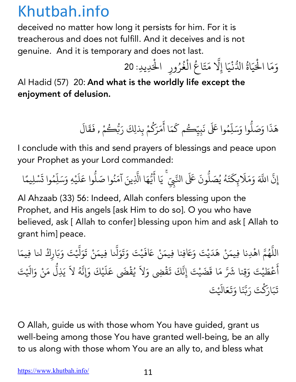deceived no matter how long it persists for him. For it is treacherous and does not fulfill. And it deceives and is not genuine. And it is temporary and does not last.

وَمَا الْحَيَاةُ الدُّنْيَا إِلَّا مَتَاعُ الْغُرُورِ ۖ الْحَدِيدِ: 20 َْ ֧֖֧֝֟֟֟֟֟֟֟֟֟֟֟֟֟֟֓֟֟֟֟֟֬֝֟֟<sup>֟</sup> .<br>ا َ ْ ∫<br>≀ ُ ْ

Al Hadid (57) 20: And what is the worldly life except the enjoyment of delusion.

> هَذَا وَصَلُّوا وَسَلِّهُ ֧֦֧֦֦֧֧֧֦֧֦֧֦֧֦֧֦֧֦֪֦֧֦֧֦֧֦֧֦֧֦֧֦֝֟֟֟֟֟֟֟֟֟֟֟֟֟֟֬֟֟֟֟֟֬֟֟֟֬֟֟֟֬֟֩֕֓֟֬֟֟֩֕֟֬֟֩֕֟֟֩֕֬֟֟֬֬ ֧֦֧֝<u>֘</u> وا عَلَى نَبِيِّكُم كَمَا أَمَرَكُمْ بِذلِكَ رَبُّكُ **∶** َ ैं।<br>∙ ؚ<br>ا **∶** ر<br>مئے ِ<br>مْ , فَقَالَ **∶ ∶**

I conclude with this and send prayers of blessings and peace upon your Prophet as your Lord commanded:

إِن ֡֡֟<u>֚</u> ्<br>द اللَّهَ وَمَلَابِكَتَهُ يُصَلُّونَ عَلَى النَّبِيِّ ۚ يَا أَيُّهَا الَّذِينَ آمَنُوا صَلُّوا عَلَيْهِ وَسَلِّمُوا تَسْلِيمًا **∶** ֺ֧֦֧֦֧֝֝<u>֚</u> **∶** ُ ِّ **.**<br>. ֡֡֝֟֓֝֟<u>֓</u> **∶ ّ** ֧֡֡֟֟֟֟֟֟֟֟֟<u>֟</u> **∶** ∫<br>∫ **.** َ**∶ ا**<br>ا **∶ ا**<br>ا

Al Ahzaab (33) 56: Indeed, Allah confers blessing upon the Prophet, and His angels [ask Him to do so]. O you who have believed, ask [ Allah to confer] blessing upon him and ask [ Allah to grant him] peace.

اللَّهُمَّ اهْدِنا فِيمَنْ هَدَيْتَ وَعَافِنا فِيمَنْ عَافَيْتَ وَتَوَلَّنا فِيمَنْ تَوَلَّيْتَ وَبَارِكْ لنا فِيمَا ֧֧֦֧֦֧֦֧֦֧֚֚֝֝֝֬<br>֧֚֝<br>֧֝ ُ .<br>. **∶ ∶ │ ∶** َ ֧֧֚֝֟֓֕֝֟֓֕֬֝֬֝֓֬֝֬֝֬֝֬֝֬֝֬֝֬֝֬֝֬֝֬֝֬֝֬֝֬ ्<br>। َأ َ ِ<br>عُطَيْتَ وَقِنا شَرَّ مَا قَضَيْتَ إِنَّكَ تَقْضِي وَلاَ يُقْضَى عَلَيْكَ وَإِنَّهُ لاَ يَذِلُّ مَنْ وَالَيْتَ **∶ ∶ ∶** المستقبل المستقبل المستقبل المستقبل المستقبل المستقبل المستقبل المستقبل المستقبل المستقبل المستقبل المستقبل ال<br>والمستقبل المستقبل المستقبل المستقبل المستقبل المستقبل المستقبل المستقبل المستقبل المستقبل المستقبل المستقبل ا ֚֚֝<br>֧֖֪֧֚֚֚֚֝֝֝֝֝֝֝֝֝֝֝֟֓֝֬֝֝֟֓֝֬֝֝֟֝֟֓֝֬֝֟֓֝֬֝֟֓֝֬֝֓֬֝֓֬֝֓֝֬֝֬֝֓֬ **∶** ֪֪֦֧֡֟֟֓֟֓֟֟֟֟֟֬֟֩֓֝֬֝֟֓֝֬֝֟<sup>֟</sup> **∶** ֧֖֧֦֚֚֚֝֝֬֝<br>֧֚֚֝ تَبَارَكْتَ رَبَّنَا وَتَعَالَيْتَ **∶ ∶ ∶ ّ ∶ ∶** 

O Allah, guide us with those whom You have guided, grant us well-being among those You have granted well-being, be an ally to us along with those whom You are an ally to, and bless what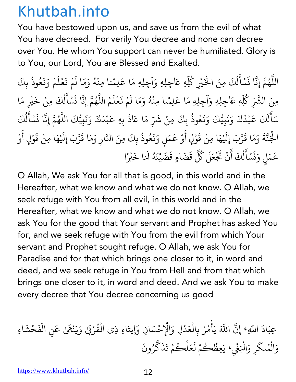You have bestowed upon us, and save us from the evil of what You have decreed. For verily You decree and none can decree over You. He whom You support can never be humiliated. Glory is to You, our Lord, You are Blessed and Exalted.

اللَّهُمَّ إِنَّا نَسْأَلُكَ مِنَ الْخَيْرِ كُلِّهِ عَاجِلِهِ وَآجِلِهِ مَا عَلِمْنا مِنْهُ وَمَا لَمْ نَعْلَمْ وَنَعُوذُ بِكَ ֧֧֦֧֖֚֚֚֝֝֝֬ ُ **∶** <u>ّ</u> **∶** ل ُ ؚ<br>ۣ ْ∫<br>່ **∶ ∶** <u>َّأَبَّ الْمَسْتَقَلِّينَ</u> **∶ ∶ ∶** ُ ؚ<br>ؚ مِنَ الشَّرِّ كُلِّهِ عَاجِلِهِ وَآجِلِهِ مَا عَلِمْنا مِنْهُ وَمَا لَمْ نَعْلَمْ اللَّهُمَّ إِنَّا نَسْأَلُكَ مِنْ خَيْرِ مَا ∫<br>່ **∶ ∶** ١, **∶ ّ** ِّ بِ **∶** <u>ّ</u> **∶** ل ِّ بِ **∶** سَأَلَكَ عَبْدُكَ وَنَبِيُّكَ وَنَعُوذُ بِكَ ؚ<br>֡֝֟<u>֝</u> **่** ل **∶** ؚ<br>֡<br>֧֝<br>֧֝ ْ **∶ ∶ ∶ ∶** ُ ، مِنْ شَرِّ مَا عَاذَ بِهِ عَبْدُكَ وَنَبِيُّكَ اللَّهُمَّ إِنَّا نَسْأَلُكَ **∶** ؚ<br>֡ **Andrew Communication ∶ ∶ ّ** ُ **∶** <u>ّ</u> ֦֧֖֖֪֚֚֚֚֚֚֚֚֝֝֝֝֝֝֝֓֝֝֬֝֓֝֬֝֬֝֬֝֟֓֟֓֟֓֟֓֬֝֓֬֝֓֟֓֬֝֓֬֝֓֬֝֓֬֝֬ ل المسلم<br>المسلماني ؚ<br>ؚ الْجَنَّةَ وَمَا قَرَّبَ إِلَيْهَا مِنْ قَوْلٍ أَوْ عَمَلٍ وَنَعُوذُ بِكَ مِنَ النَّارِ وَمَا قَرَّبَ إِلَيْهَا مِنْ قَوْلٍ أَوْ ْ **∶** ֧֖֧֦֧֦֧֦֧ׅ֚֚֝֝֜֓֓֬<br>֧֚֚֝ **∶ ّ ∶** ֦֧<u>֓</u> **∶ ∶** ؚ<br>֡<br>֧֝<br>֧֝ **∶ ∶** ُ ֧֖֧֦֧֦֧֦֧֚֚֝֝֝֬<br>֧֚֚֝<br>֧֝  $\ddot{\phantom{0}}$ ֧֖֧֦֧֦֧֦֧֚֝֝֜*֟* **∶** <u>ّ</u>  $\ddot{\phantom{a}}$ َ ْ عَمَلٍ وَنَسْأَلُكَ أَنْ تَجْ ؚ<br>֡<br>֧֝<br>֧֝ **∶** ز **∶** <u>َ</u> ֧֦֦֧֚֝֝<u>֓</u> ل ُ ์<br>; حَلَ كُلَّ ِ<br>قَضَاءٍ قَضَيْتَهُ لَنا خَيْرً **∶** ْ **∶** ا

O Allah, We ask You for all that is good, in this world and in the Hereafter, what we know and what we do not know. O Allah, we seek refuge with You from all evil, in this world and in the Hereafter, what we know and what we do not know. O Allah, we ask You for the good that Your servant and Prophet has asked You for, and we seek refuge with You from the evil from which Your servant and Prophet sought refuge. O Allah, we ask You for Paradise and for that which brings one closer to it, in word and deed, and we seek refuge in You from Hell and from that which brings one closer to it, in word and deed. And we ask You to make every decree that You decree concerning us good

ِعب اد َ ا+ َ ّ ،ِ إِن ّ َّ ا+ ي َ أ ْ م ُ ر ُ ال ِب ْ ع د َ ال َ ِل <sup>و</sup> ْ ِح ْ س ْ يت ِ <sup>ä</sup> ان َ ْ <sup>ا</sup> ِء ذِي ال َ ق ُ ر ب ْ َ ٰ و َ ي َ ن ه ْ ال ِن َ ٰ <sup>ع</sup> َ ْ ف ح َ ش ْ ا ِء َ و َ ال ْ م نك ُ َ و ِر ال َ ْ َغ ْ ِظ َ ، <sup>ي</sup> ِ ع ُ ك ُ م ل ْ َ ع َ ل ّ ك ُ م ت ْ َ ذ َ ك ّ ر ون ُ َ